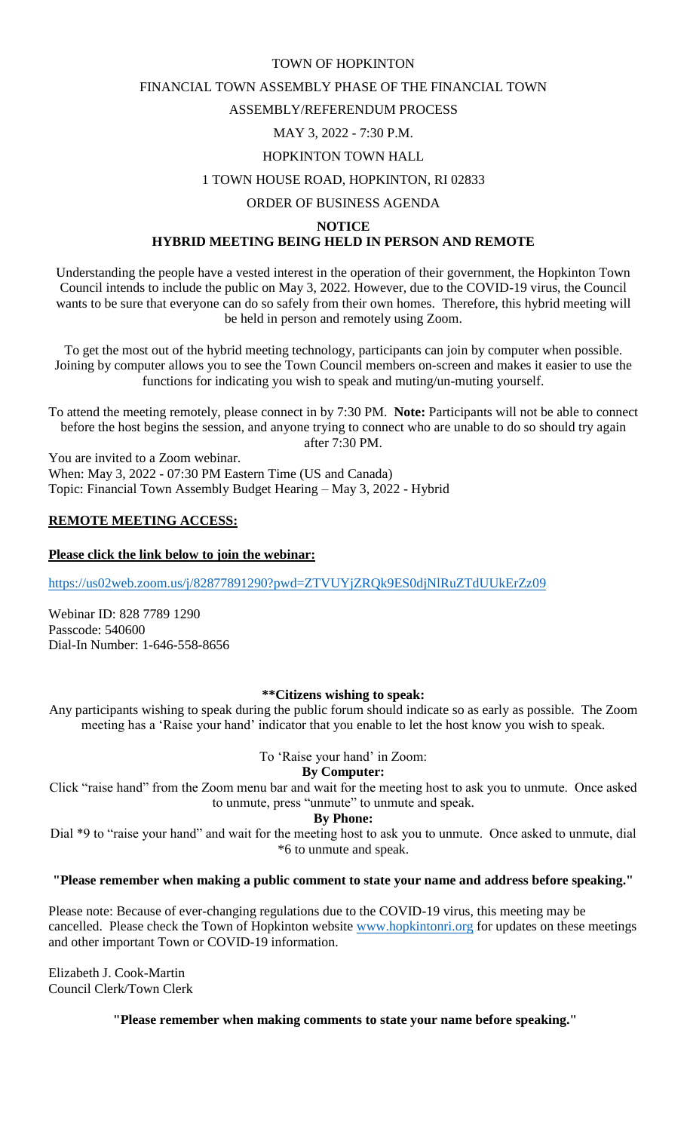#### TOWN OF HOPKINTON

## FINANCIAL TOWN ASSEMBLY PHASE OF THE FINANCIAL TOWN

# ASSEMBLY/REFERENDUM PROCESS

# MAY 3, 2022 - 7:30 P.M.

## HOPKINTON TOWN HALL

## 1 TOWN HOUSE ROAD, HOPKINTON, RI 02833

#### ORDER OF BUSINESS AGENDA

#### **NOTICE**

# **HYBRID MEETING BEING HELD IN PERSON AND REMOTE**

Understanding the people have a vested interest in the operation of their government, the Hopkinton Town Council intends to include the public on May 3, 2022. However, due to the COVID-19 virus, the Council wants to be sure that everyone can do so safely from their own homes. Therefore, this hybrid meeting will be held in person and remotely using Zoom.

To get the most out of the hybrid meeting technology, participants can join by computer when possible. Joining by computer allows you to see the Town Council members on-screen and makes it easier to use the functions for indicating you wish to speak and muting/un-muting yourself.

To attend the meeting remotely, please connect in by 7:30 PM. **Note:** Participants will not be able to connect before the host begins the session, and anyone trying to connect who are unable to do so should try again after 7:30 PM.

You are invited to a Zoom webinar. When: May 3, 2022 - 07:30 PM Eastern Time (US and Canada) Topic: Financial Town Assembly Budget Hearing – May 3, 2022 - Hybrid

## **REMOTE MEETING ACCESS:**

## **Please click the link below to join the webinar:**

<https://us02web.zoom.us/j/82877891290?pwd=ZTVUYjZRQk9ES0djNlRuZTdUUkErZz09>

Webinar ID: 828 7789 1290 Passcode: 540600 Dial-In Number: 1-646-558-8656

## **\*\*Citizens wishing to speak:**

Any participants wishing to speak during the public forum should indicate so as early as possible. The Zoom meeting has a 'Raise your hand' indicator that you enable to let the host know you wish to speak.

## To 'Raise your hand' in Zoom:

#### **By Computer:**

Click "raise hand" from the Zoom menu bar and wait for the meeting host to ask you to unmute. Once asked to unmute, press "unmute" to unmute and speak.

#### **By Phone:**

Dial \*9 to "raise your hand" and wait for the meeting host to ask you to unmute. Once asked to unmute, dial \*6 to unmute and speak.

**"Please remember when making a public comment to state your name and address before speaking."**

Please note: Because of ever-changing regulations due to the COVID-19 virus, this meeting may be cancelled. Please check the Town of Hopkinton website [www.hopkintonri.org](http://www.hopkintonri.org/) for updates on these meetings and other important Town or COVID-19 information.

Elizabeth J. Cook-Martin Council Clerk/Town Clerk

**"Please remember when making comments to state your name before speaking."**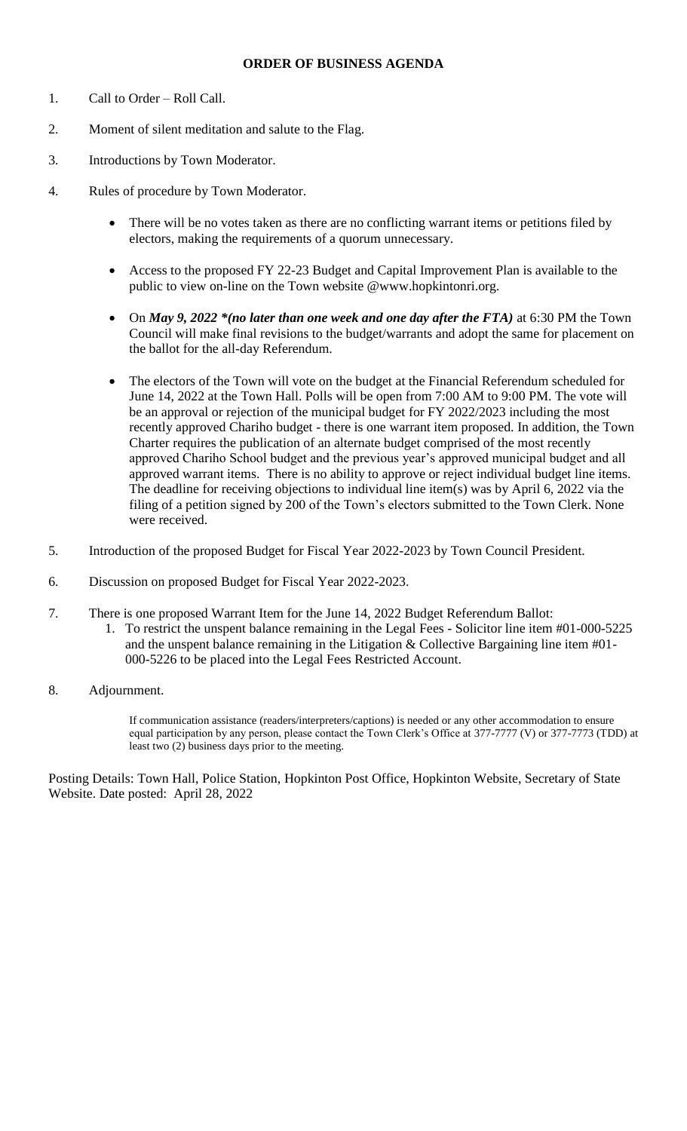## **ORDER OF BUSINESS AGENDA**

- 1. Call to Order Roll Call.
- 2. Moment of silent meditation and salute to the Flag.
- 3. Introductions by Town Moderator.
- 4. Rules of procedure by Town Moderator.
	- There will be no votes taken as there are no conflicting warrant items or petitions filed by electors, making the requirements of a quorum unnecessary.
	- Access to the proposed FY 22-23 Budget and Capital Improvement Plan is available to the public to view on-line on the Town website @www.hopkintonri.org.
	- On *May 9, 2022 \*(no later than one week and one day after the FTA)* at 6:30 PM the Town Council will make final revisions to the budget/warrants and adopt the same for placement on the ballot for the all-day Referendum.
	- The electors of the Town will vote on the budget at the Financial Referendum scheduled for June 14, 2022 at the Town Hall. Polls will be open from 7:00 AM to 9:00 PM. The vote will be an approval or rejection of the municipal budget for FY 2022/2023 including the most recently approved Chariho budget - there is one warrant item proposed. In addition, the Town Charter requires the publication of an alternate budget comprised of the most recently approved Chariho School budget and the previous year's approved municipal budget and all approved warrant items. There is no ability to approve or reject individual budget line items. The deadline for receiving objections to individual line item(s) was by April 6, 2022 via the filing of a petition signed by 200 of the Town's electors submitted to the Town Clerk. None were received.
- 5. Introduction of the proposed Budget for Fiscal Year 2022-2023 by Town Council President.
- 6. Discussion on proposed Budget for Fiscal Year 2022-2023.
- 7. There is one proposed Warrant Item for the June 14, 2022 Budget Referendum Ballot:
	- 1. To restrict the unspent balance remaining in the Legal Fees Solicitor line item #01-000-5225 and the unspent balance remaining in the Litigation  $&$  Collective Bargaining line item  $\#01$ -000-5226 to be placed into the Legal Fees Restricted Account.
- 8. Adjournment.

If communication assistance (readers/interpreters/captions) is needed or any other accommodation to ensure equal participation by any person, please contact the Town Clerk's Office at 377-7777 (V) or 377-7773 (TDD) at least two (2) business days prior to the meeting.

Posting Details: Town Hall, Police Station, Hopkinton Post Office, Hopkinton Website, Secretary of State Website. Date posted: April 28, 2022